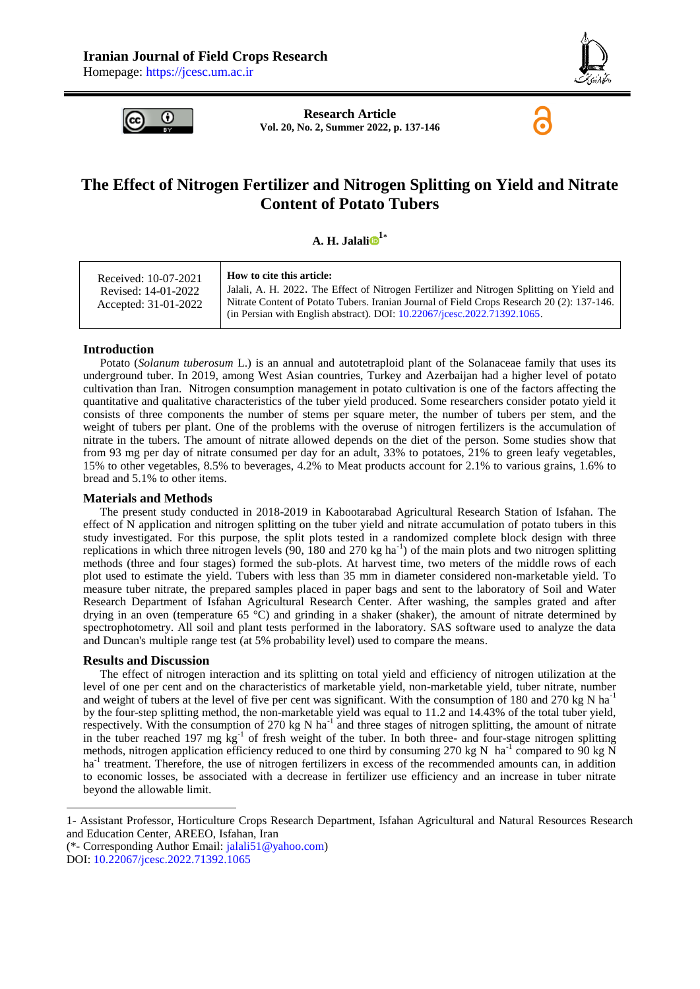

6



**Research Article Vol. 20, No. 2, Summer 2022, p. 137-146**

# **The Effect of Nitrogen Fertilizer and Nitrogen Splitting on Yield and Nitrate Content of Potato Tubers**

## $\mathbf{A}$ . **H. Jalal[i](https://orcid.org/0000-0001-8714-8486)**  $\mathbf{B}^{1*}$

#### **Introduction**

Potato (*Solanum tuberosum* L.) is an annual and autotetraploid plant of the Solanaceae family that uses its underground tuber. In 2019, among West Asian countries, Turkey and Azerbaijan had a higher level of potato cultivation than Iran. Nitrogen consumption management in potato cultivation is one of the factors affecting the quantitative and qualitative characteristics of the tuber yield produced. Some researchers consider potato yield it consists of three components the number of stems per square meter, the number of tubers per stem, and the weight of tubers per plant. One of the problems with the overuse of nitrogen fertilizers is the accumulation of nitrate in the tubers. The amount of nitrate allowed depends on the diet of the person. Some studies show that from 93 mg per day of nitrate consumed per day for an adult, 33% to potatoes, 21% to green leafy vegetables, 15% to other vegetables, 8.5% to beverages, 4.2% to Meat products account for 2.1% to various grains, 1.6% to bread and 5.1% to other items.

## **Materials and Methods**

The present study conducted in 2018-2019 in Kabootarabad Agricultural Research Station of Isfahan. The effect of N application and nitrogen splitting on the tuber yield and nitrate accumulation of potato tubers in this study investigated. For this purpose, the split plots tested in a randomized complete block design with three replications in which three nitrogen levels  $(90, 180 \text{ and } 270 \text{ kg ha}^{-1})$  of the main plots and two nitrogen splitting methods (three and four stages) formed the sub-plots. At harvest time, two meters of the middle rows of each plot used to estimate the yield. Tubers with less than 35 mm in diameter considered non-marketable yield. To measure tuber nitrate, the prepared samples placed in paper bags and sent to the laboratory of Soil and Water Research Department of Isfahan Agricultural Research Center. After washing, the samples grated and after drying in an oven (temperature 65 °C) and grinding in a shaker (shaker), the amount of nitrate determined by spectrophotometry. All soil and plant tests performed in the laboratory. SAS software used to analyze the data and Duncan's multiple range test (at 5% probability level) used to compare the means.

## **Results and Discussion**

The effect of nitrogen interaction and its splitting on total yield and efficiency of nitrogen utilization at the level of one per cent and on the characteristics of marketable yield, non-marketable yield, tuber nitrate, number and weight of tubers at the level of five per cent was significant. With the consumption of 180 and 270 kg N ha<sup>-1</sup> by the four-step splitting method, the non-marketable yield was equal to 11.2 and 14.43% of the total tuber yield, respectively. With the consumption of 270 kg N ha<sup>-1</sup> and three stages of nitrogen splitting, the amount of nitrate in the tuber reached 197 mg  $\text{kg}^{-1}$  of fresh weight of the tuber. In both three- and four-stage nitrogen splitting methods, nitrogen application efficiency reduced to one third by consuming 270 kg N ha<sup>-1</sup> compared to 90 kg N ha<sup>-1</sup> treatment. Therefore, the use of nitrogen fertilizers in excess of the recommended amounts can, in addition to economic losses, be associated with a decrease in fertilizer use efficiency and an increase in tuber nitrate beyond the allowable limit.

(\*- Corresponding Author Email: [jalali51@yahoo.com\)](mailto:jalali51@yahoo.com)

1

<sup>1-</sup> Assistant Professor, Horticulture Crops Research Department, Isfahan Agricultural and Natural Resources Research and Education Center, AREEO, Isfahan, Iran

DOI: [10.22067/jcesc.2022.71392.1065](https://dx.doi.org/10.22067/jcesc.2022.71392.1065)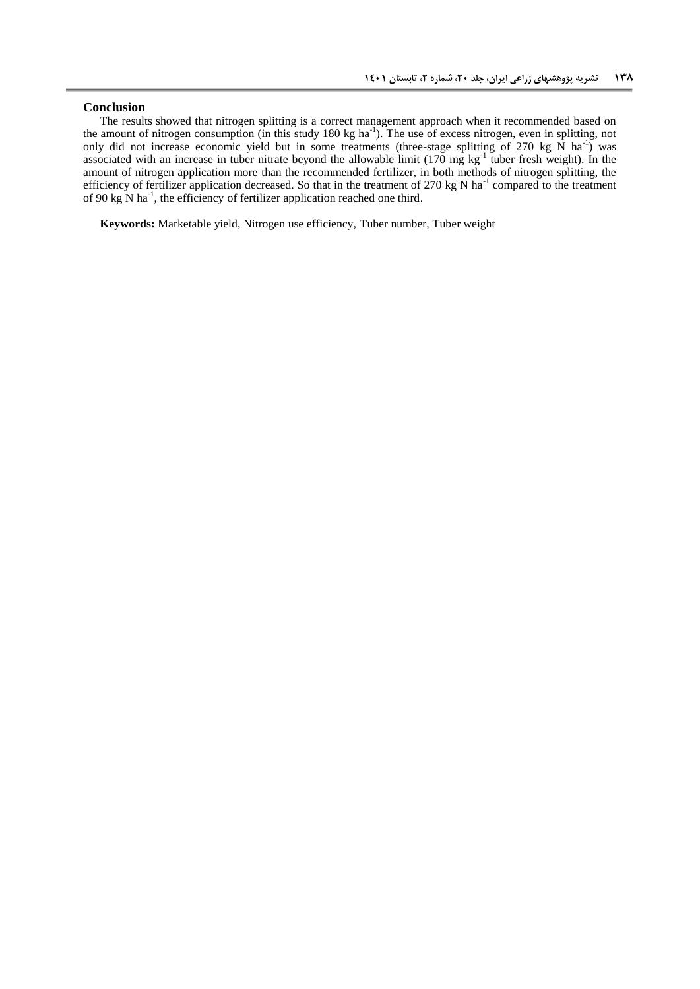## **Conclusion**

The results showed that nitrogen splitting is a correct management approach when it recommended based on the amount of nitrogen consumption (in this study 180 kg ha<sup>-1</sup>). The use of excess nitrogen, even in splitting, not only did not increase economic yield but in some treatments (three-stage splitting of 270 kg  $\overline{N}$  ha<sup>-1</sup>) was associated with an increase in tuber nitrate beyond the allowable limit  $(170 \text{ mg kg}^{-1})$  tuber fresh weight). In the amount of nitrogen application more than the recommended fertilizer, in both methods of nitrogen splitting, the efficiency of fertilizer application decreased. So that in the treatment of 270 kg N ha<sup>-1</sup> compared to the treatment of 90 kg N ha<sup>-1</sup>, the efficiency of fertilizer application reached one third.

**Keywords:** Marketable yield, Nitrogen use efficiency, Tuber number, Tuber weight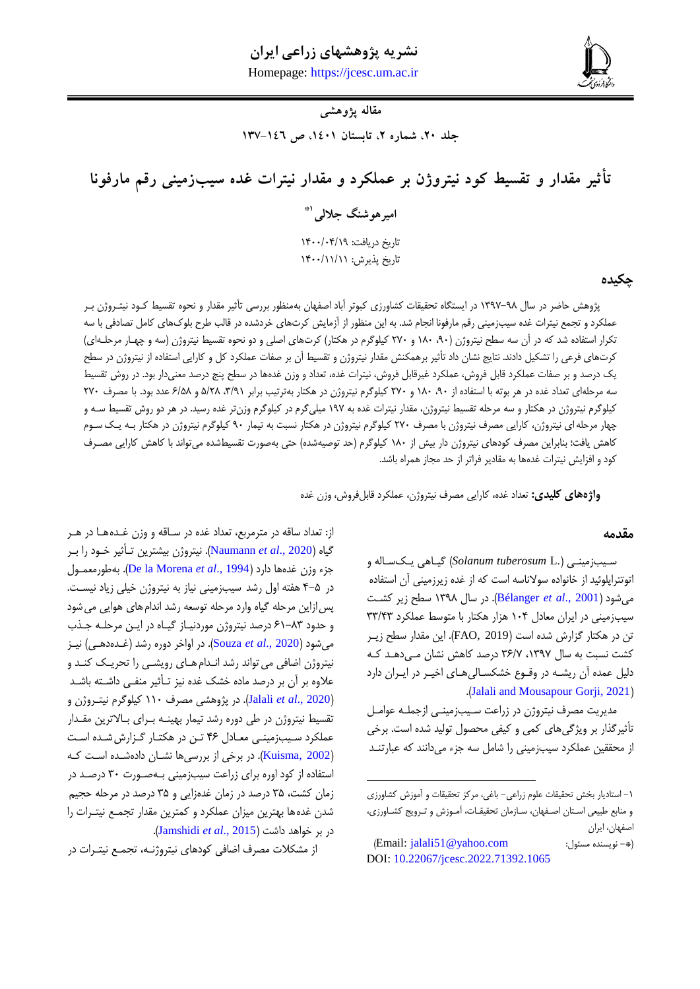# **نشریه پژوهشهای زراعی ایران**

**جاللی، تأثیر مقدار و تقسیط کود نیتروژن بر عملکرد و مقدار نیترات غده سیبزمینی رقم مارفونا 831** Homepage: [https://jcesc.um.ac.ir](https://jcesc.um.ac.ir/)



## **مقاله پژوهشی**

جلد ٢٠، شماره ٢، تابستان ١٤٠١، ص ١٤٦-١٣٧

**تأثیر مقدار و تقسیط کود نیتروژن بر عملکرد و مقدار نیترات غده سیبزمینی رقم مارفونا 1\* امیرهوشنگ جاللی** تاریخ دریافت: ١۴٠٠/٠۴/١٩ تاریخ پذیرش: ۱۴۰۰/۱۱/۱۱

## **چکیده**

پژوهش حاضر در سال ۹۸–۱۳۹۷ در ایستگاه تحقیقات کشاورزی کبوتر آباد اصفهان بهمنظور بررسی تأثیر مقدار و نحوه تقسیط کـود نیتـروژن بـر عملکرد و تجمع نیترات غده سیبزمینی رقم مارفونا انجام شد. به این منظور از آزمایش کرتهای خردشده در قالب طرح بلوکهای کامل تصادفی با سه تکرار استفاده شد که در آن سه سطح نیتروژن (۹۰، ۱۸۰ و ۲۷۰ کیلوگرم در هکتار) کرتهای اصلی و دو نحوه تقسیط نیتروژن (سه و چهار مرحلـه|ی) کرتهای فرعی را تشکیل دادند. نتایج نشان داد تأثیر برهمکنش مقدار نیتروژن و تقسیط آن بر صفات عملکرد کل و کارایی استفاده از نیتروژن در سطح یک درصد و بر صفات عملکرد قابل فروش، عملکرد غیرقابل فروش، نیترات غده، تعداد و وزن غدهها در سطح پنج درصد معنیدار بود. در روش تقسیط سه مرحلهای تعداد غده در هر بوته با استفاده از ۹۰، ۱۸۰ و ۲۷۰ کیلوگرم نیتروژن در هکتار بهترتیب برابر ۳/۹۱، ۵/۲۸ و ۶/۵۸ عدد بود. با مصرف ۲۷۰ کیلوگرم نیتروژن در هکتار و سه مرحله تقسیط نیتروژن، مقدار نیترات غده به ۱۹۷ میلیگرم در کیلوگرم وزنتر غده رسید. در هر دو روش تقسیط سـه و چهار مرحله ای نیتروژن، کارایی مصرف نیتروژن با مصرف ۲۷۰ کیلوگرم نیتروژن در هکتار نسبت به تیمار ۹۰ کیلوگرم نیتروژن در هکتار بـه یـک سـوم کاهش یافت؛ بنابراین مصرف کودهای نیتروژن دار بیش از ۱۸۰ کیلوگرم (حد توصیهشده) حتی بهصورت تقسیطشده میتواند با کاهش کارایی مصـرف کود و افزایش نیترات غدهها به مقادیر فراتر از حد مجاز همراه باشد.

 $\overline{a}$ 

**واژههای کلیدی:** تعداد غده، کارایی مصرف نیترو ن، عملکرد قابلفروش، وزن غده

#### **مقدمه**

سویب زمینوی ).L *tuberosum Solanum* )گیواهی یوک سواله و اتوتتراپلوئید از خانواده سوالناسه است که از غده زیرزمینی آن استفاده میشود )2001 .,*al et* [Bélanger](#page-8-0)). در سال 9919 سطح زیر کشوت سیبزمینی در ایران معادل 940 هزار هکتار با متوسط عملکرد 99/09 تن در هکتار گزارش شده است )2019 ,FAO). این مقدار سطح زیور کشت نسبت به سال ۱۳۹۷، ۳۶/۷ درصد کاهش نشان می دهد ک دلیل عمده آن ریشـه در وقـوع خشکسـالی۱عـای اخیـر در ایـران دارد .)[Jalali and Mousapour Gorji, 2021](#page-9-0)(

مدیریت مصرف نیتروژن در زراعت سـیب;مینـی ازجملـه عوامـل تأثیرگذار بر ویژگیهای کمی و کیفی محصول تولید شده است. برخی از محققین عملکرد سیبزمینی را شامل سه جزء میدانند که عبارتنـد

از: تعداد ساقه در مترمربع، تعداد غده در سـاقه و وزن غـدههـا در هـر گیاه )2020 .,*al et* [Naumann](#page-9-1)). نیترو ن بیشترین توأثیر خوود را بور مزء وزن غدهها دارد )1994 .,*al et* [Morena la De](#page-9-2)). بهطورمعموول در ۵-۴ هفته اول رشد سیبزمینی نیاز به نیتروژن خیلی زیاد نیست. پسازاین مرحله گیاه وارد مرحله توسعه رشد اندامهای هوایی میشود و حدود ۸۳-۶۱ درصد نیتروژن موردنیاز گیاه در این مرحله جذب میشود )[2020 .,](#page-9-3)*al et* Souza). در اواخر دوره رشد )غوده دهوی ( نیوز نیتروژن اضافی می تواند رشد انـدام هـای رویشـبی را تحریـک کنـد و علاوه بر آن بر درصد ماده خشک غده نیز تـأثیر منفـی داشـته باشـد )[2020 .,](#page-9-0)*al et* Jalali). در پژوهشی مصرف 994 کیلوگرم نیتورو ن و تقسیط نیتروژن در طی دوره رشد تیمار بهینـه بـرای بـالاترین مقـدار عملکرد سیب زمینی معادل ۴۶ تن در هکتار گزارش شده است (Kuisma, 2002). در برخی از بررسیها نشـان دادهشـده اسـت کـه استفاده از کود اوره برای زراعت سیبزمینی بـهصـورت ۳۰ درصـد در زمان کشت، 95 درصد در زمان غدهزایی و 95 درصد در مرحله حجیم شدن غدهها بهترین میزان عملکرد و کمترین مقدار تجموع نیتورات را در بر خواهد داشت )2015 .,*al et* [Jamshidi](#page-9-5)).

<sup>-9</sup> استادیار بخش تحقیقات علوم زراعی- باغی، مرکز تحقیقات و آموزش کشاورزی و منابع طبیعی استان اصفهان، سازمان تحقیقات، آموزش و ترویج کشاورزی، اصفهان، ایران

<sup>)</sup>Email: [jalali51@yahoo.com](mailto:jalali51@yahoo.com) :مسئول نویسنده -)\* DOI: [10.22067/jcesc.2022.71392.1065](https://dx.doi.org/10.22067/jcesc.2022.71392.1065)

از مشکلات مصرف اضافی کودهای نیتروژنـه، تجمـع نیتـرات در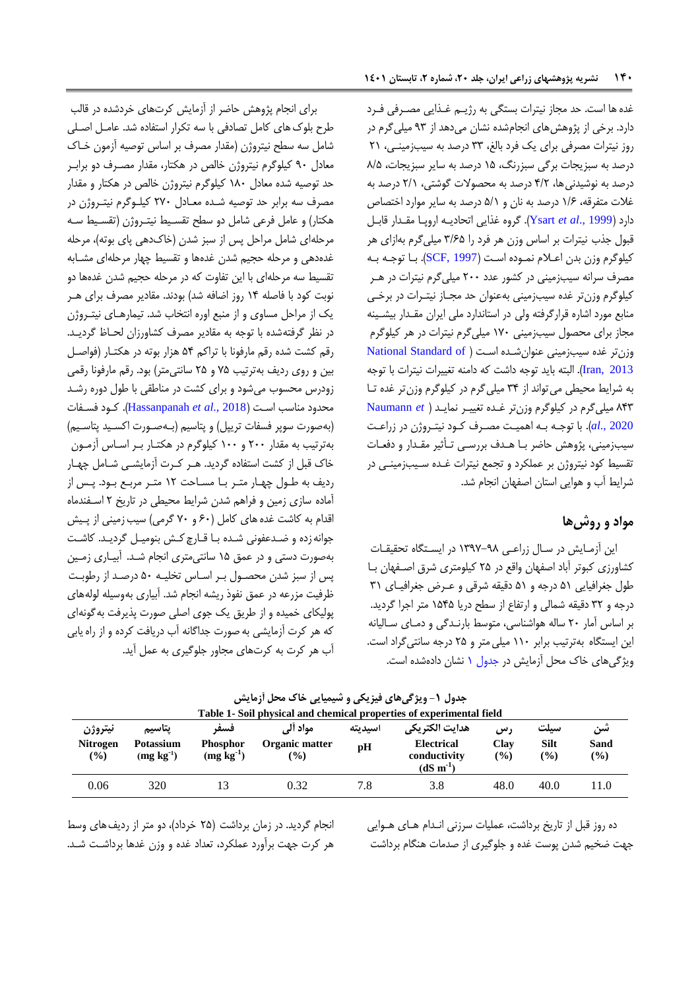غدهها است. حد مجاز نیترات بستگی به ر یوم غوذایی مصورفی فورد دارد. برخی از پژوهشهای انجامشده نشان میدهد از 19 میلیگرم در روز نیترات مصرفی برای یک فرد بالغ، 99 درصد به سیبزمینوی، 09 درصد به سبزیجات برگی سبزرنگ، 95 درصد به سایر سبزیجات، 9/5 درصد به نوشیدنیها، 0/0 درصد به محصوالت گوشتی، 0/9 درصد به غالت متفرقه، 9/6 درصد به نان و 5/9 درصد به سایر موارد اختصاص دارد )[1999 .,](#page-9-6)*al et* Ysart). گروه غذایی اتحادیوه اروپوا مقودار قابول قبول جذب نیترات بر اساس وزن هر فرد را ۳/۶۵ میلی گرم بهازای هر کیلوگرم وزن بدن اعلام نموده است ([1997 ,SCF](#page-9-7)). با توجه به مصرف سرانه سیبزمینی در کشور عدد 044 میلیگرم نیترات در هور کیلوگرم وزنتر غده سیبزمینی بهعنوان حد مجـاز نیتـرات در برخـی منابع مورد اشاره قرارگرفته ولی در استاندارد ملی ایران مقدار بیشینه مجاز برای محصول سیبزمینی 914 میلیگرم نیترات در هر کیلوگرم وزن تر غده سیبزمینی عنوان شده اس[ت](#page-9-8) ( National Standard of [2013 ,Iran](#page-9-8)). البته باید تومه داشت که دامنه تغییرات نیترات با تومه به شرایط محیطی میتواند از 90 میلیگرم در کیلوگرم وزنتر غده توا 909 میلیگرم در کیلوگرم وزنتر غوده تغییور نمای[ود](#page-9-1) ) *et* [Naumann](#page-9-1) [2020 .,](#page-9-1)*al*). با توموه بوه اهمیوت مصورف کوود نیتورو ن در زراعوت سیبزمینی، پژوهش حاضر بـا هـدف بررسـی تـأثیر مقـدار و دفعـات تقسیط کود نیتروژن بر عملکرد و تجمع نیترات غـده سـیب;مینـی در شرایط آب و هوایی استان اصفهان انجام شد.

## **مواد و روشها**

این آزمایش در سال زراعی ۹۸–۱۳۹۷ در ایستگاه تحقیقات کشاورزی کبوتر آباد اصفهان واقع در ٢۵ کیلومتری شرق اصفهان با طول جغرافیایی ۵۱ درجه و ۵۱ دقیقه شرقی و عرض جغرافیای ۳۱ درمه و 90 دقیقه شمالی و ارتفاخ از سطح دریا 9505 متر امرا گردید. بر اساس آمار ٢٠ ساله هواشناسی، متوسط بارنـدگی و دمـای سـالیانه این ایستگاه بهترتیب برابر ١١٠ میلی متر و ٢۵ درجه سانتی گراد است. ویژگیهای خاک محل آزمایش در [مدول](#page-3-0) 9 نشان دادهشده است.

برای انجام پژوهش حاضر از آزمایش کرتهای خردشده در قالب طرح بلوک های کامل تصادفی با سه تکرار استفاده شد. عامـل اصـلی شامل سه سطح نیتروژن (مقدار مصرف بر اساس توصیه آزمون خـاک معادل ۹۰ کیلوگرم نیتروژن خالص در هکتار، مقدار مصـرف دو برابـر حد توصیه شده معادل ۱۸۰ کیلوگرم نیتروژن خالص در هکتار و مقدار مصرف سه برابر حد توصیه شـده معـادل ٢٧٠ کیلـوگرم نیتـروژن در هکتار) و عامل فرعی شامل دو سطح تقسیط نیتـروژن (تقسـیط سـه مرحلهای شامل مراحل پس از سبز شدن (خاکدهی پای بوته)، مرحله غدهدهی و مرحله حجیم شدن غدهها و تقسیط چهار مرحلهای مشـابه تقسیط سه مرحلهای با این تفاوت که در مرحله حجیم شدن غدهها دو نوبت کود با فاصله 90 روز اضافه شد( بودند. مقادیر مصرف برای هور یک از مراحل مساوی و از منبع اوره انتخاب شد. تیمارهـای نیتـروژن در نظر گرفتهشده با توجه به مقادیر مصرف کشاورزان لحـاظ گردیـد. رقم کشت شده رقم مارفونا با تراکم 50 هزار بوته در هکتوار )فواصول بین و روی ردیف بهترتیب 15 و 05 سانتیمتر( بود. رقم مارفونا رقمی زودرس محسوب میشود و برای کشت در مناطقی با طول دوره رشد محدود مناسب اسوت )2018 .,*al et* [Hassanpanah](#page-9-9)). کوود فسوفات (بهصورت سوپر فسفات تریپل) و پتاسیم (بـهصـورت اکسـید پتاسـیم) بهترتیب به مقدار ۲۰۰ و ۱۰۰ کیلوگرم در هکتـار بـر اسـاس آزمـون خاک قبل از کشت استفاده گردید. هور کورت آزمایشوی شوامل چهوار ردیف به طول چهار متر با مساحت ١٢ متر مربع بود. پس از آماده سازی زمین و فراهم شدن شرایط محیطی در تاریخ ۲ اسفندماه اقدام به کاشت غده های کامل (۶۰ و ۷۰ گرمی) سیب زمینی از پیش جوانه زده و ضدعفونی شده با قارچ کش بنومیل گردید. کاشت بهصورت دستی و در عمق ۱۵ سانتیمتری انجام شـد. آبیـاری زمـین پس از سبز شدن محصـول بـر اسـاس تخلیـه ۵۰ درصـد از رطوبـت ظرفیت مزرعه در عمق نفوذ ریشه انجام شد. آبیاری بهوسیله لولههای پولیکای خمیده و از طریق یک موی اصلی صورت پذیرفت بهگونهای که هر کرت آزمایشی به صورت جداگانه آب دریافت کرده و از راه یابی آب هر کرت به کرتهای مجاور جلوگیری به عمل آید.

|                                             |                                           |                                       |                                                            |               | Table 1- Soil physical and chemical properties of experimental field    |                             |                     |                   |
|---------------------------------------------|-------------------------------------------|---------------------------------------|------------------------------------------------------------|---------------|-------------------------------------------------------------------------|-----------------------------|---------------------|-------------------|
| نيتروژن<br><b>Nitrogen</b><br>$\frac{9}{6}$ | پتاسيم<br><b>Potassium</b><br>$(mg kg-1)$ | فسف<br><b>Phosphor</b><br>$(mg kg-1)$ | مواد آلي<br>Organic matter<br>$\left( \frac{0}{0} \right)$ | اسيديته<br>pH | هدايت الكتريكي<br><b>Electrical</b><br>conductivity<br>$(dS \, m^{-1})$ | رس<br>Clav<br>$\frac{9}{6}$ | سيلت<br>Silt<br>(%) | سن<br>Sand<br>(%) |
| 0.06                                        | 320                                       |                                       | 0.32                                                       | 7.8           | 3.8                                                                     | 48.0                        | 40.0                | 11.0              |

**جدول -0 ویژگیهای فیزیکی و شیمیایی خاک محل آزمایش**

انجام گردید. در زمان برداشت (۲۵ خرداد)، دو متر از ردیف های وسط هر کرت جهت برآورد عملکرد، تعداد غده و وزن غدها برداشـت شـد.

<span id="page-3-0"></span>ده روز قبل از تاریخ برداشت، عملیات سرزنی انـدام هـای هـوایی مهت ضخیم شدن پوست غده و ملوگیری از صدمات هنگام برداشت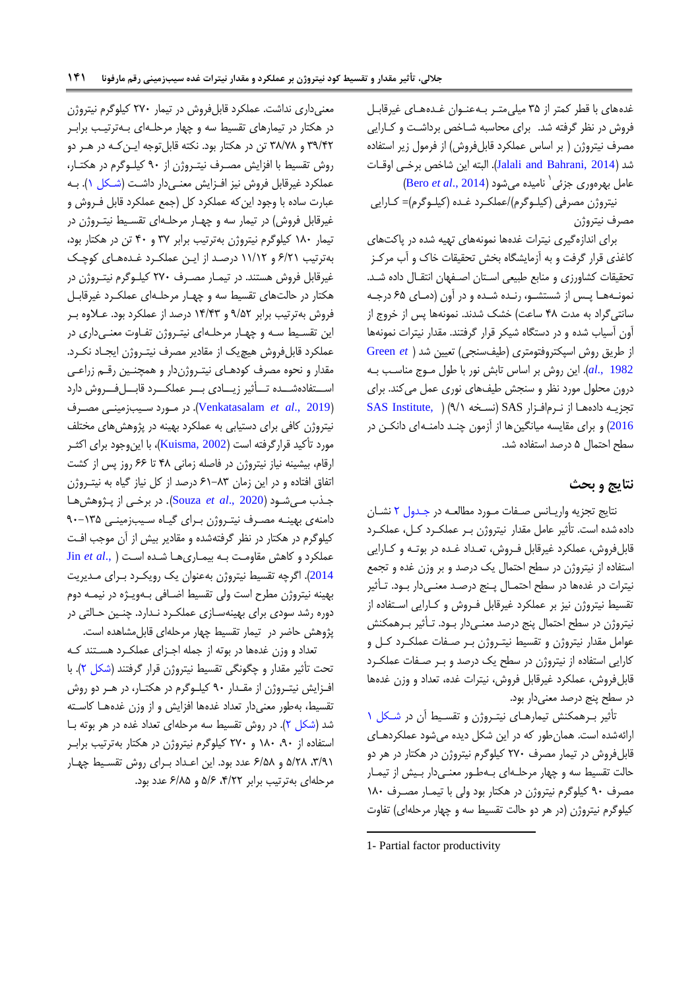غدههای با قطر کمتر از ۳۵ میلی متـر بـه عنـوان غـدههـای غیرقابـل فروش در نظر گرفته شد. برای محاسبه شـاخص برداشت و کـارایی مصرف نیتروژن ( بر اساس عملکرد قابلفروش) از فرمول زیر استفاده شد )[2014 ,Bahrani and Jalali](#page-9-0)). البته این شاخص برخوی اوقوات عامل بھرەورى جزئى<sup>\</sup> ناميدە مىشود (Bero *et al*[., 2014](#page-8-1))

نیتروژن مصرفی (کیلـوگرم)/عملکـرد غـده (کیلـوگرم)= کـارایی مصرف نیتروژن

برای اندازهگیری نیترات غدهها نمونههای تهیه شده در پاکتهای کاغذی قرار گرفت و به آزمایشگاه بخش تحقیقات خاک و آب مرکـز تحقیقات کشاورزی و منابع طبیعی استان اصفهان انتقال داده شد. نمونهها پس از شستشو، رنده شده و در آون (دمای ۶۵ درجه سانتیگراد به مدت ۴۸ ساعت) خشک شدند. نمونهها پس از خروج از آون آسیاب شده و در دستگاه شیکر قرار گرفتند. مقدار نیترات نمونهها از طریق روش اسپکتروفتومتری )طیفسنجی( تعیین شد [\)](#page-9-10) *et* [Green](#page-9-10) [1982 .,](#page-9-10)*al*). این روش بر اساس تابش نور با طول مووج مناسوب بوه درون محلول مورد نظر و سنجش طیفهای نوری عمل میکند. برای تجزیه دادهها از نرم افزار SAS (نسخه ١/٩) ( SAS Institute, ) [2016](#page-9-11)) و برای مقایسه میانگین ها از آزمون چنـد دامنـهای دانکـن در سطح احتمال 5 درصد استفاده شد.

## **نتایج و بحث**

نتایج تجزیه واریـانس صـفات مـورد مطالعـه در جـدول ۲ نشـان داده شده است. تأثیر عامل مقدار نیترو ن بور عملکورد کول، عملکورد قابلفروش، عملکرد غیرقابل فـروش، تعـداد غـده در بوتـه و کــارایی استفاده از نیتروژن در سطح احتمال یک درصد و بر وزن غده و تجمع نیترات در غدهها در سطح احتمـال پـنج درصـد معنـیدار بـود. تـأثیر تقسیط نیتروژن نیز بر عملکرد غیرقابل فـروش و کـارایی اسـتفاده از نیتروژن در سطح احتمال پنج درصد معنـیcار بـود. تـأثیر بـرهمکنش عوامل مقدار نیتروژن و تقسیط نیتـروژن بـر صـفات عملکـرد کـل و کارایی استفاده از نیتروژن در سطح یک درصد و بـر صـفات عملکـرد قابلفروش، عملکرد غیرقابل فروش، نیترات غده، تعداد و وزن غدهها در سطح پنج درصد معنیدار بود.

تأثیر برهمکنش تیمارهای نیتروژن و تقسیط آن در شکل ۱ ارائهشده است. همانطور که در این شکل دیده میشود عملکردهوای قابلفروش در تیمار مصرف ۲۷۰ کیلوگرم نیتروژن در هکتار در هر دو حالت تقسیط سه و چهار مرحلهای بهطور معنیدار بیش از تیمار مصرف ۹۰ کیلوگرم نیتروژن در هکتار بود ولی با تیمـار مصـرف ۱۸۰ کیلوگرم نیتروژن (در هر دو حالت تقسیط سه و چهار مرحلهای) تفاوت

1

معنیداری نداشت. عملکرد قابلفروش در تیمار 014 کیلوگرم نیترو ن در هکتار در تیمارهای تقسیط سه و چهار مرحلـهای بـهترتیـب برابـر 91/00 و 99/19 تن در هکتار بود. نکته قابلتومه ایون کوه در هور دو روش تقسیط با افزایش مصرف نیتروژن از ۹۰ کیلوگرم در هکتار، عملکرد غیرقابل فروش نیز افـزایش معنـیدار داشت (شـکل ۱). بـه عبارت ساده با وجود این که عملکرد کل (جمع عملکرد قابل فـروش و غیرقابل فروش) در تیمار سه و چهـار مرحلـهای تقسـیط نیتـروژن در تیمار ۱۸۰ کیلوگرم نیتروژن بهترتیب برابر ۳۷ و ۴۰ تن در هکتار بود، بهترتیب 6/09 و 99/90 درصود از ایون عملکورد غوده هوای کوچوک غیرقابل فروش هستند. در تیمـار مصـرف ٢٧٠ کیلـوگرم نیتـروژن در هکتار در حالتهای تقسیط سه و چهـار مرحلـهای عملکـرد غیرقابـل فروش بهترتیب برابر ۹/۵۲ و ۱۴/۴۳ درصد از عملکرد بود. عـلاوه بـر این تقسیط سـه و چهـار مرحلـهای نیتـروژن تفـاوت معنـیداری در عملکرد قابلفروش هیچیک از مقادیر مصرف نیتـروژن ایجـاد نکـرد. مقدار و نحوه مصرف کودهـای نیتـروژندار و همچنـین رقـم زراعـی استفادهشده تأثیر زیادی بر عملکرد قابل فروش دارد )2019 .,*al et* [Venkatasalam](#page-9-12)). در موورد سویبزمینوی مصورف نیتروژن کافی برای دستیابی به عملکرد بهینه در پژوهشهای مختلف مورد تأکید قرارگرفته است (Kuisma, 2002)، با اینوجود برای اکثـر ارقام، بیشینه نیاز نیتروژن در فاصله زمانی ۴۸ تا ۶۶ روز پس از کشت اتفاق افتاده و در این زمان ۸۳-۶۱ درصد از کل نیاز گیاه به نیت وژن موذ موی شوود ) [2020 .,](#page-9-3)*al et* Souza). در برخوی از پوژوهش هوا دامنهی بهینه مصرف نیتروژن برای گیاه سیبزمینی ۱۳۵-۹۰ کیلوگرم در هکتار در نظر گرفتهشده و مقادیر بیش از آن مومب افوت عملکرد و کاهش مقاومت به بیماری ها شده است ( .Jin et al [2014](#page-9-13)). اگرچه تقسیط نیتروژن بهعنوان یک رویک رد برای مدیریت بهینه نیتروژن مطرح است ولی تقسیط اضـافی بـهویـژه در نیمـه دوم دوره رشد سودی برای بهینهسازی عملکرد نـدارد. چنـین حـالتی در پژوهش حاضر در تیمار تقسیط چهار مرحلهای قابلمشاهده است.

تعداد و وزن غدهها در بوته از جمله اجـزای عملکـرد هسـتند کـه تحت تأثیر مقدار و چگونگی تقسیط نیتروژن قرار گرفتند (شکل ۲). با افزایش نیتووژن از مقدار ۹۰ کیلوگرم در هکتـار، در هـر دو روش تقسیط، بهطور معنیدار تعداد غدهها افزایش و از وزن غدههـا کاسـته شد [\)شکل 0\(.](#page-7-0) در روش تقسیط سه مرحلهای تعداد غده در هر بوته بوا استفاده از ۹۰، ۱۸۰ و ۲۷۰ کیلوگرم نیتروژن در هکتار بهترتیب براب ،9/19 5/09 و 6/59 عدد بود. این اعوداد بورای روش تقسویط چهوار مرحلهای بهترتیب برابر ،0/00 5/6 و 6/95 عدد بود.

<sup>1-</sup> Partial factor productivity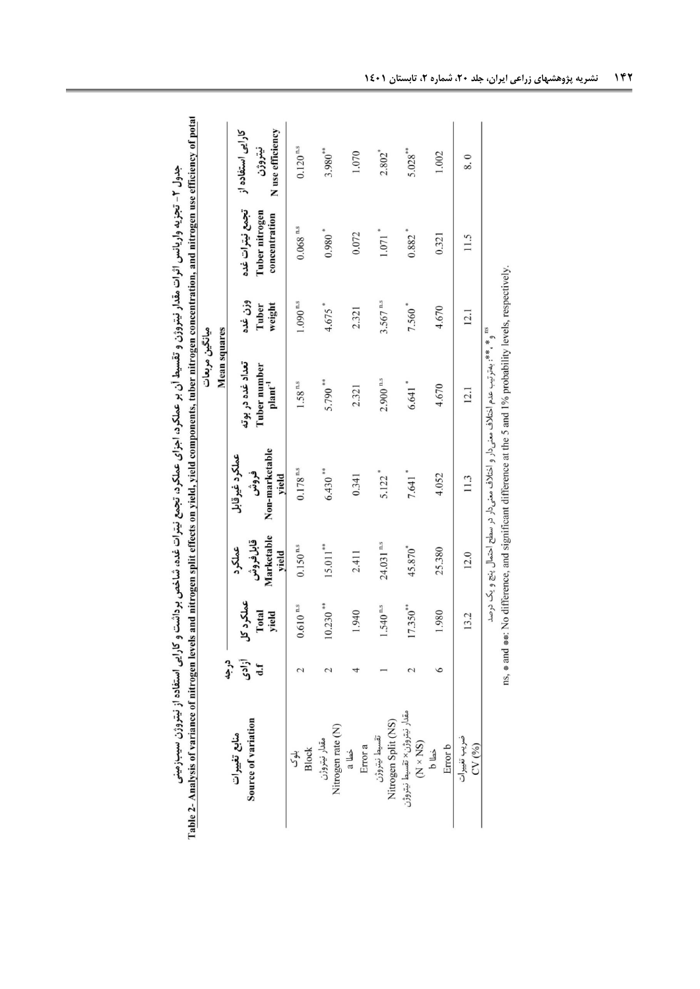<span id="page-5-0"></span>Table 2- Analysis of variance of nitrogen levels and nitrogen split effects on yield, yield components, tuber nitrogen concentration, and nitrogen use efficiency of potat جدول ۲- تجزیه واریانس اثرات مقدار نیتروژن و تقسیط آن بر عملکرد، اجزای عملکرد، تجمع نیترات غده، شاخص برداشت و کارایی استفاده از نیتروژن سیب زمینی

|                                          |                     |                             |                                           |                                                   | ميانگين مربعات                                                                     |                            |                                                    |                                                  |
|------------------------------------------|---------------------|-----------------------------|-------------------------------------------|---------------------------------------------------|------------------------------------------------------------------------------------|----------------------------|----------------------------------------------------|--------------------------------------------------|
|                                          |                     |                             |                                           |                                                   | <b>Mean squares</b>                                                                |                            |                                                    |                                                  |
| Source of variation<br>منابع تغييرات     | آزادی<br>Lf<br>درجه | عملكرد كل<br>Total<br>yield | Marketable<br>قابلغروش<br>عملكرد<br>yield | Non-marketable<br>عملكرد غيرقابل<br>فروش<br>yield | تعداد غده در بوته<br>Tuber number<br>$\mathbf{plant}^{-1}$                         | وزن غده<br>weight<br>Tuber | تجمع نيترات غده<br>Tuber nitrogen<br>concentration | N use efficiency<br>کارایی استفاده از<br>نيتروژن |
| <b>Block</b><br>بلوک                     |                     | $0.610$ $^{\rm ns}$         | $0.150^{\,\rm n.s}$                       | $0.178$ $^{\rm ns}$                               | $1.58$ n.s                                                                         | $1.090^{\,\rm n.s}$        | $0.068$ $^{\rm ns}$                                | $0.120$ $\mathrm{^{n.s}}$                        |
| Nitrogen rate (N)<br>مقدار نيتروژن       |                     | $10.230**$                  | $15.011***$                               | $6.430$ **                                        | $5.790$ **                                                                         | $4.675$ <sup>*</sup>       | $0.980*$                                           | $3.980**$                                        |
| Error a<br>خطا a                         |                     | 1.940                       | 2.411                                     | 0.341                                             | 2.321                                                                              | 2.321                      | 0.072                                              | 1.070                                            |
| Nitrogen Split (NS)<br>تقسيط نيتروژن     |                     | $1.540$ $\mathrm{^{n.s}}$   | 24.031 n.s                                | $5.122$ <sup>*</sup>                              | $2.900$ $^{\rm ns}$                                                                | $3.567$ <sup>n.s</sup>     | $1.071$ <sup>*</sup>                               | 2.802*                                           |
| مقدار نيتروژن× تقسيط نيتروژن<br>(N × NS) |                     | $17.350**$                  | 45.870*                                   | $7.641$ *                                         | $6.641$ *                                                                          | 7.560*                     | $0.882$ <sup>*</sup>                               | $5.028***$                                       |
| Error b<br>خطا b                         |                     | 1.980                       | 25.380                                    | 4.052                                             | 4.670                                                                              | 4.670                      | 0.321                                              | 1.002                                            |
| ضريب تغييرات<br>CV(9/0)                  |                     | 13.2                        | 12.0                                      | 11.3                                              | 12.1                                                                               | 12.1                       | 11.5                                               | 8.0                                              |
|                                          |                     |                             |                                           |                                                   | ¤¤ * *** بەترتیب عدم اختلاف معنی دار و اختلاف معنی دار در سطح احتمال پنج و یک درصد |                            |                                                    |                                                  |

ns, # and ##: No difference, and significant difference at the 5 and 1% probability levels, respectively.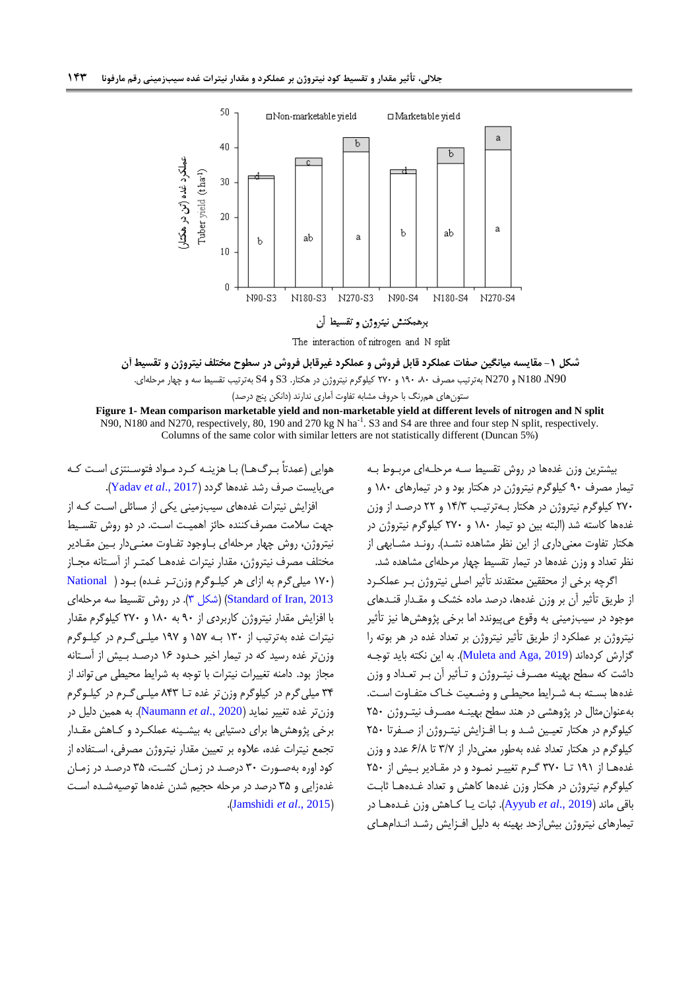

**شکل -0 مقایسه میانگین صفات عملکرد قابل فروش و عملکرد غیرقابل فروش در سطوح مختلف نیتروژن و تقسیط آن** 90N، 180N و 270N بهترتیب مصرف ،94 914 و 014 کیلوگرم نیترو ن در هکتار. 3S و 4S بهترتیب تقسیط سه و چهار مرحلهای. ستونهای همرنگ با حروف مشابه تفاوت آماری ندارند )دانکن پنج درصد(

**Figure 1- Mean comparison marketable yield and non-marketable yield at different levels of nitrogen and N split** N90, N180 and N270, respectively, 80, 190 and 270 kg N ha<sup>-1</sup>. S3 and S4 are three and four step N split, respectively. Columns of the same color with similar letters are not statistically different (Duncan 5%)

> <span id="page-6-0"></span>بیشترین وزن غدهها در روش تقسیط سـه مرحلـهای مربـوط بـه تیمار مصرف ۹۰ کیلوگرم نیتروژن در هکتار بود و در تیمارهای ۱۸۰ و ۲۷۰ کیلوگرم نیتروژن در هکتار بـهترتیـب ۱۴/۳ و ۲۲ درصـد از وزن غدهها کاسته شد (البته بین دو تیمار ۱۸۰ و ۲۷۰ کیلوگرم نیتروژن در هکتار تفاوت معنیداری از این نظر مشاهده نشود(. رونود مشوابهی از نظر تعداد و وزن غدهها در تیمار تقسیط چهار مرحلهای مشاهده شد.

> اگرچه برخی از محققین معتقدند تأثیر اصلی نیتروژن بـر عملکـرد از طریق تأثیر آن بر وزن غدهها، درصد ماده خشک و مقـدار قنـدهای مومود در سیبزمینی به وقوخ میپیوندد اما برخی پژوهشها نیز تأثیر نیتروژن بر عملکرد از طریق تأثیر نیتروژن بر تعداد غده در هر بوته را گزارش کردهاند (2019 <u>Muleta and Aga,)</u>. به این نکته باید توجـه داشت که سطح بهینه مصـرف نیتـروژن و تـأثیر آن بـر تعـداد و وزن غدهها بسته به شرایط محیطی و وضعیت خاک متفاوت است. بهعنوان مثال در پژوهشی در هند سطح بهینـه مصـرف نیتـروژن ۲۵۰ کیلوگرم در هکتار تعیین شد و با افـزایش نیتـروژن از صـفرتا ۲۵۰ کیلوگرم در هکتار تعداد غده بهطور معنیدار از 9/1 تا 6/9 عدد و وزن غدهها از ۱۹۱ تا ۳۷۰ گرم تغییر نمود و در مقادیر بیش از ۲۵۰ کیلوگرم نیتروژن در هکتار وزن غدهها کاهش و تعداد غـدههـا ثابـت باقی ماند )2019 .,*al et* [Ayyub](#page-8-2)). ثبات یوا کواهش وزن غوده هوا در تیمارهای نیتروژن بیش|زحد بهینه به دلیل افـزایش رشـد انـدامهـای

هوایی (عمدتاً بـرگ۱هـا) بـا هزینـه کـرد مـواد فتوسـنتزی اسـت کـه میبایست صرف رشد غدهها گردد )2017 .,*al et* [Yadav](#page-9-15)). افزایش نیترات غدههای سیبزمینی یکی از مسائلی است کـه از مهت سالمت مصرفکننده حائز اهمیوت اسوت. در دو روش تقسویط نیتروژن، روش چهار مرحلهای بـاوجود تفـاوت معنـیcار بـین مقـادیر مختلف مصرف نیتروژن، مقدار نیترات غدههـا کمتـر از آسـتانه مجـاز )914 میلیگرم به ازای هر کیلووگرم وزن تور غوده( بو[ود](#page-9-8) ) [National](#page-9-8) [2013 ,Iran of Standard](#page-9-8)[\(](#page-7-1) )[شکل 9\(](#page-7-1). در روش تقسیط سه مرحلهای با افزایش مقدار نیترو ن کاربردی از 14 به 994 و 014 کیلوگرم مقدار نیترات غده بهترتیب از 994 بوه 951 و 911 میلوی گورم در کیلووگرم وزن تر غده رسید که در تیمار اخیر حـدود ۱۶ درصـد بـیش از آسـتانه مجاز بود. دامنه تغییرات نیترات با توجه به شرایط محیطی می تواند از ۳۴ میلی گرم در کیلوگرم وزنتر غده تــا ۸۴۳ میلـی گـرم در کیلـوگرم وزنتر غده تغییر نماید )2020 .,*al et* [Naumann](#page-9-1)). به همین دلیل در برخی پژوهش ها برای دستیابی به بیشـینه عملکـرد و کـاهش مقـدار تجمع نیترات غده، علاوه بر تعیین مقدار نیتروژن مصرفی، اسـتفاده از کود اوره بهصورت ۳۰ درصد در زمان کشت، ۳۵ درصد در زمان غدهزایی و ۳۵ درصد در مرحله حجیم شدن غدهها توصیهشـده اسـت .)[Jamshidi](#page-9-5) *et al*., 2015(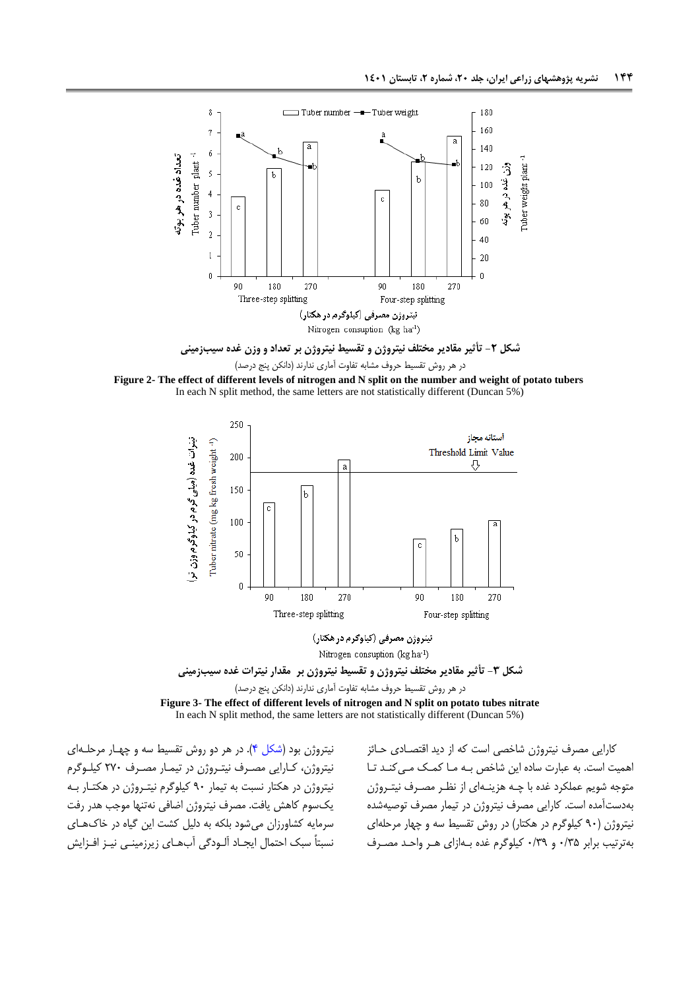

<span id="page-7-0"></span>





تيتروژن مصرفي (كيلوگرم در هكتار) Nitrogen consuption (kg ha<sup>-1</sup>)

**شکل -3 تأثیر مقادیر مختلف نیتروژن و تقسیط نیتروژن بر مقدار نیترات غده سیبزمینی**

در هر روش تقسیط حروف مشابه تفاوت آماری ندارند )دانکن پنج درصد( **Figure 3- The effect of different levels of nitrogen and N split on potato tubes nitrate** In each N split method, the same letters are not statistically different (Duncan 5%)

نیتروژن بود (شکل ۴). در هر دو روش تقسیط سه و چهار مرحلهای نیتروژن، کـارایی مصـرف نیتـروژن در تیمـار مصـرف ٢٧٠ کیلـوگرم نیتروژن در هکتار نسبت به تیمار ۹۰ کیلوگرم نیتـروژن در هکتـار بـه یکسوم کاهش یافت. مصرف نیتروژن اضافی نهتنها موجب هدر رفت سرمایه کشاورزان میشود بلکه به دلیل کشت این گیاه در خاکهوای نسبتاً سبک احتمال ایجـاد آلـودگی آبھـای زیرزمینـی نیـز افـزایش <span id="page-7-1"></span>کارایی مصرف نیتروژن شاخصی است که از دید اقتصادی حـائز اهمیت است. به عبارت ساده این شاخص بـه مـا کمـک مـی کنـد تـا متوجه شویم عملکرد غده با چـه هزینـهای از نظـر مصـرف نیتـروژن بهدستآمده است. کارایی مصرف نیترو ن در تیمار مصرف توصیهشده نیتروژن (۹۰ کیلوگرم در هکتار) در روش تقسیط سه و چهار مرحلهای بهترتیب برابر 4/95 و 4/91 کیلوگرم غده بوه ازای هور واحود مصورف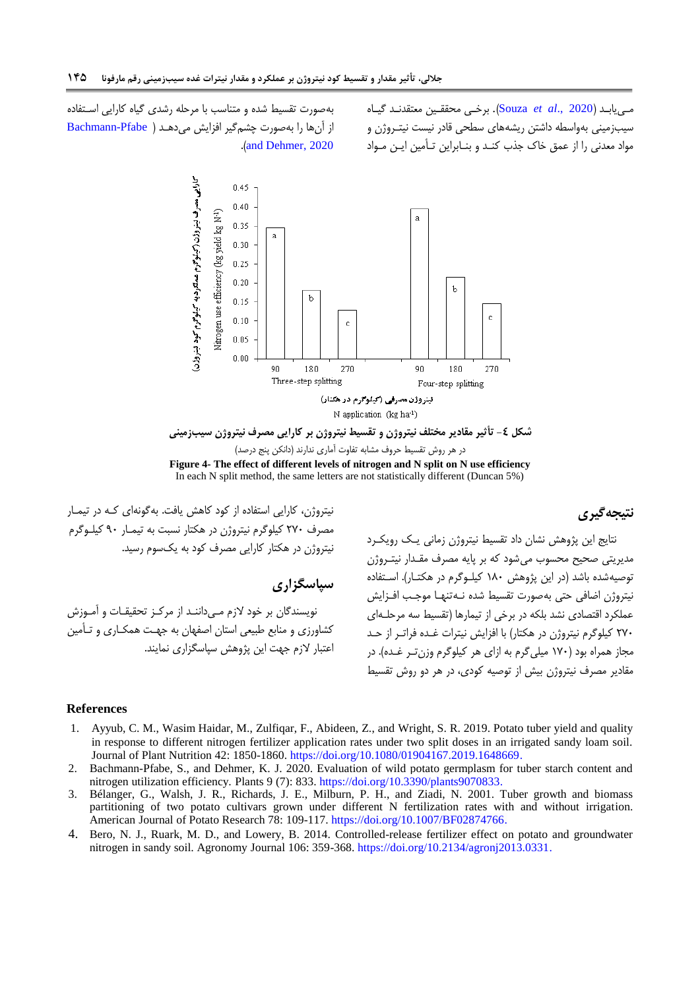می یابد (2020 .Souza et al). برخی محققین معتقدند گیاه سیبزمینی بهواسطه داشتن ریشههای سطحی قادر نیست نیت روژن و مواد معدنی را از عمق خاک جذب کنـد و بنـابراین تـأمین ایـن مـواد

بهصورت تقسیط شده و متناسب با مرحله رشدی گیاه کارایی اسوتفاده از آنها را بهصورت چشم گیر افزایش میدهد ( Bachmann-Pfabe .([and Dehmer, 2020](#page-8-4))



**شکل -4 تأثیر مقادیر مختلف نیتروژن و تقسیط نیتروژن بر کارایی مصرف نیتروژن سیبزمینی** در هر روش تقسیط حروف مشابه تفاوت آماری ندارند )دانکن پنج درصد( **Figure 4- The effect of different levels of nitrogen and N split on N use efficiency** In each N split method, the same letters are not statistically different (Duncan 5%)

<span id="page-8-3"></span>**نتیجهگیری**

نیتروژن، کارایی استفاده از کود کاهش یافت. بهگونهای کـه در تیمـار مصرف ٢٧٠ کیلوگرم نیتروژن در هکتار نسبت به تیمـار ٩٠ کیلـوگرم نیتروژن در هکتار کارایی مصرف کود به یکسوم رسید.

**سپاسگزاری**

نویسندگان بر خود لازم مے داننـد از مرکـز تحقیقـات و آمـوزش کشاورزی و منابع طبیعی استان اصفهان به جهت همکـاری و تـأمین اعتبار الزم مهت این پژوهش سپاسگزاری نمایند. نتایج این پژوهش نشان داد تقسیط نیترو ن زمانی یوک رویکورد مدیریتی صحیح محسوب می شود که بر پایه مصرف مقـدار نیتـروژن توصیهشده باشد (در این پژوهش ۱۸۰ کیلـوگرم در هکتـار). اسـتفاده نیتروژن اضافی حتی بهصورت تقسیط شده نـه تنهـا موجـب افـزایش عملکرد اقتصادی نشد بلکه در برخی از تیمارها )تقسیط سه مرحلوه ای ۲۷۰ کیلوگرم نیتروژن در هکتار) با افزایش نیترات غـده فراتـر از حـد مجاز همراه بود (۱۷۰ میلی گرم به ازای هر کیلوگرم وزن تـر غـده). در مقادیر مصرف نیترو ن بیش از توصیه کودی، در هر دو روش تقسیط

#### **References**

- <span id="page-8-2"></span>1. Ayyub, C. M., Wasim Haidar, M., Zulfiqar, F., Abideen, Z., and Wright, S. R. 2019. Potato tuber yield and quality in response to different nitrogen fertilizer application rates under two split doses in an irrigated sandy loam soil. Journal of Plant Nutrition 42: 1850-1860. [https://doi.org/10.1080/01904167.2019.1648669.](https://doi.org/10.1080/01904167.2019.1648669)
- <span id="page-8-4"></span>2. Bachmann-Pfabe, S., and Dehmer, K. J. 2020. Evaluation of wild potato germplasm for tuber starch content and nitrogen utilization efficiency. Plants 9 (7): 833. [https://doi.org/10.3390/plants9070833.](https://doi.org/10.3390/plants9070833)
- <span id="page-8-0"></span>3. Bélanger, G., Walsh, J. R., Richards, J. E., Milburn, P. H., and Ziadi, N. 2001. Tuber growth and biomass partitioning of two potato cultivars grown under different N fertilization rates with and without irrigation. American Journal of Potato Research 78: 109-117. https://doi.org/10.1007/BF02874766.
- <span id="page-8-1"></span>4. Bero, N. J., Ruark, M. D., and Lowery, B. 2014. Controlled-release fertilizer effect on potato and groundwater nitrogen in sandy soil. Agronomy Journal 106: 359-368. [https://doi.org/10.2134/agronj2013.0331.](https://doi.org/10.2134/agronj2013.0331)